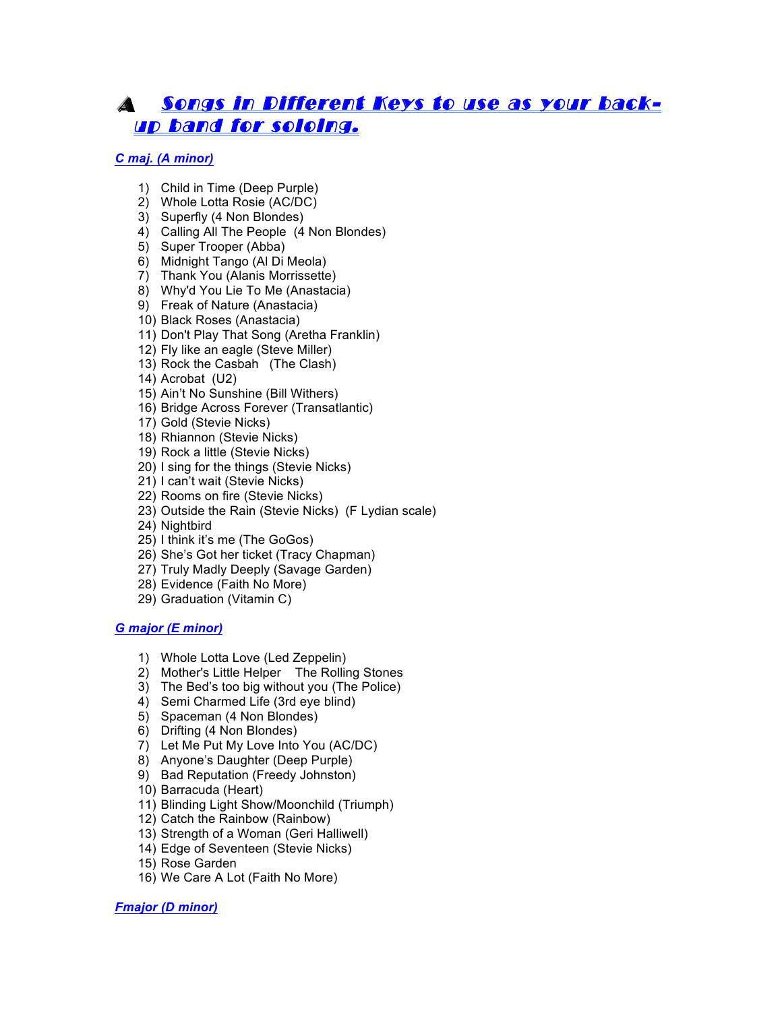# AA Songs in Different Keys to use as your backup band for soloing.

# *C maj. (A minor)*

- 1) Child in Time (Deep Purple)
- 2) Whole Lotta Rosie (AC/DC)
- 3) Superfly (4 Non Blondes)
- 4) Calling All The People (4 Non Blondes)
- 5) Super Trooper (Abba)
- 6) Midnight Tango (Al Di Meola)
- 7) Thank You (Alanis Morrissette)
- 8) Why'd You Lie To Me (Anastacia)
- 9) Freak of Nature (Anastacia)
- 10) Black Roses (Anastacia)
- 11) Don't Play That Song (Aretha Franklin)
- 12) Fly like an eagle (Steve Miller)
- 13) Rock the Casbah (The Clash)
- 14) Acrobat (U2)
- 15) Ain't No Sunshine (Bill Withers)
- 16) Bridge Across Forever (Transatlantic)
- 17) Gold (Stevie Nicks)
- 18) Rhiannon (Stevie Nicks)
- 19) Rock a little (Stevie Nicks)
- 20) I sing for the things (Stevie Nicks)
- 21) I can't wait (Stevie Nicks)
- 22) Rooms on fire (Stevie Nicks)
- 23) Outside the Rain (Stevie Nicks) (F Lydian scale)
- 24) Nightbird
- 25) I think it's me (The GoGos)
- 26) She's Got her ticket (Tracy Chapman)
- 27) Truly Madly Deeply (Savage Garden)
- 28) Evidence (Faith No More)
- 29) Graduation (Vitamin C)

## *G major (E minor)*

- 1) Whole Lotta Love (Led Zeppelin)
- 2) Mother's Little Helper The Rolling Stones
- 3) The Bed's too big without you (The Police)
- 4) Semi Charmed Life (3rd eye blind)
- 5) Spaceman (4 Non Blondes)
- 6) Drifting (4 Non Blondes)
- 7) Let Me Put My Love Into You (AC/DC)
- 8) Anyone's Daughter (Deep Purple)
- 9) Bad Reputation (Freedy Johnston)
- 10) Barracuda (Heart)
- 11) Blinding Light Show/Moonchild (Triumph)
- 12) Catch the Rainbow (Rainbow)
- 13) Strength of a Woman (Geri Halliwell)
- 14) Edge of Seventeen (Stevie Nicks)
- 15) Rose Garden
- 16) We Care A Lot (Faith No More)

## *Fmajor (D minor)*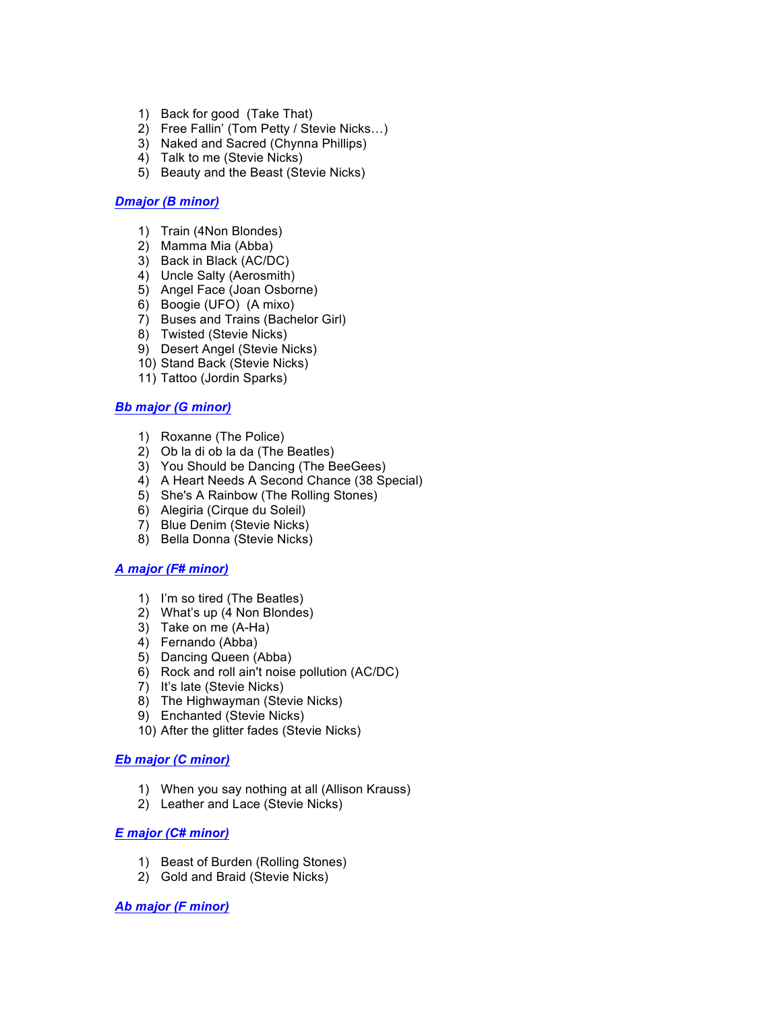- 1) Back for good (Take That)
- 2) Free Fallin' (Tom Petty / Stevie Nicks…)
- 3) Naked and Sacred (Chynna Phillips)
- 4) Talk to me (Stevie Nicks)
- 5) Beauty and the Beast (Stevie Nicks)

#### *Dmajor (B minor)*

- 1) Train (4Non Blondes)
- 2) Mamma Mia (Abba)
- 3) Back in Black (AC/DC)
- 4) Uncle Salty (Aerosmith)
- 5) Angel Face (Joan Osborne)
- 6) Boogie (UFO) (A mixo)
- 7) Buses and Trains (Bachelor Girl)
- 8) Twisted (Stevie Nicks)
- 9) Desert Angel (Stevie Nicks)
- 10) Stand Back (Stevie Nicks)
- 11) Tattoo (Jordin Sparks)

#### *Bb major (G minor)*

- 1) Roxanne (The Police)
- 2) Ob la di ob la da (The Beatles)
- 3) You Should be Dancing (The BeeGees)
- 4) A Heart Needs A Second Chance (38 Special)
- 5) She's A Rainbow (The Rolling Stones)
- 6) Alegiria (Cirque du Soleil)
- 7) Blue Denim (Stevie Nicks)
- 8) Bella Donna (Stevie Nicks)

#### *A major (F# minor)*

- 1) I'm so tired (The Beatles)
- 2) What's up (4 Non Blondes)
- 3) Take on me (A-Ha)
- 4) Fernando (Abba)
- 5) Dancing Queen (Abba)
- 6) Rock and roll ain't noise pollution (AC/DC)
- 7) It's late (Stevie Nicks)
- 8) The Highwayman (Stevie Nicks)
- 9) Enchanted (Stevie Nicks)
- 10) After the glitter fades (Stevie Nicks)

## *Eb major (C minor)*

- 1) When you say nothing at all (Allison Krauss)
- 2) Leather and Lace (Stevie Nicks)

## *E major (C# minor)*

- 1) Beast of Burden (Rolling Stones)
- 2) Gold and Braid (Stevie Nicks)

#### *Ab major (F minor)*